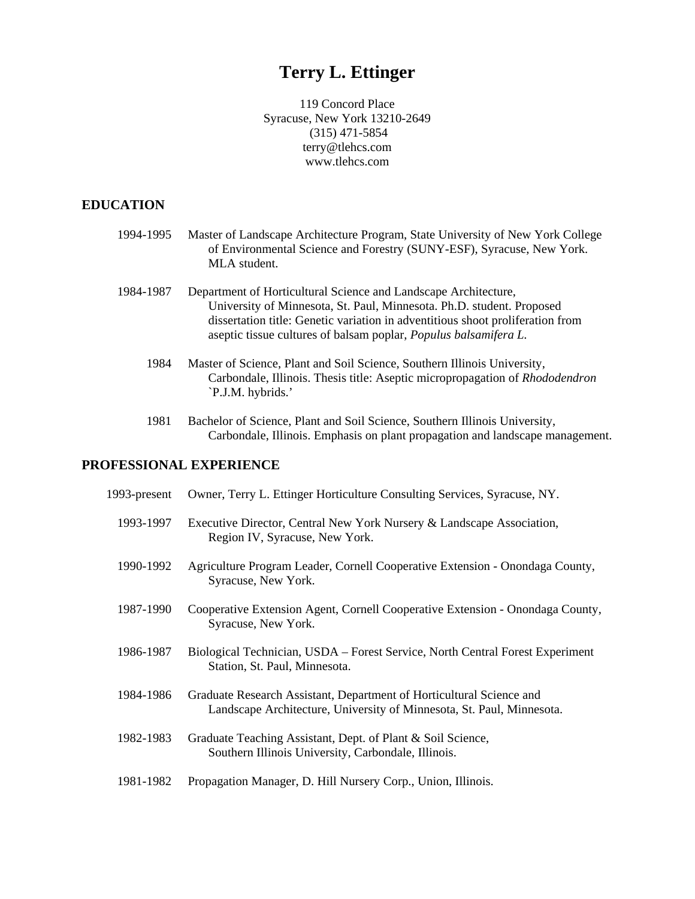# **Terry L. Ettinger**

119 Concord Place Syracuse, New York 13210-2649 (315) 471-5854 terry@tlehcs.com www.tlehcs.com

### **EDUCATION**

- 1994-1995 Master of Landscape Architecture Program, State University of New York College of Environmental Science and Forestry (SUNY-ESF), Syracuse, New York. MLA student.
- 1984-1987 Department of Horticultural Science and Landscape Architecture, University of Minnesota, St. Paul, Minnesota. Ph.D. student. Proposed dissertation title: Genetic variation in adventitious shoot proliferation from aseptic tissue cultures of balsam poplar, *Populus balsamifera L.*
	- 1984 Master of Science, Plant and Soil Science, Southern Illinois University, Carbondale, Illinois. Thesis title: Aseptic micropropagation of *Rhododendron* `P.J.M. hybrids.'
	- 1981 Bachelor of Science, Plant and Soil Science, Southern Illinois University, Carbondale, Illinois. Emphasis on plant propagation and landscape management.

# **PROFESSIONAL EXPERIENCE**

| 1993-present | Owner, Terry L. Ettinger Horticulture Consulting Services, Syracuse, NY.                                                                      |
|--------------|-----------------------------------------------------------------------------------------------------------------------------------------------|
| 1993-1997    | Executive Director, Central New York Nursery & Landscape Association,<br>Region IV, Syracuse, New York.                                       |
| 1990-1992    | Agriculture Program Leader, Cornell Cooperative Extension - Onondaga County,<br>Syracuse, New York.                                           |
| 1987-1990    | Cooperative Extension Agent, Cornell Cooperative Extension - Onondaga County,<br>Syracuse, New York.                                          |
| 1986-1987    | Biological Technician, USDA – Forest Service, North Central Forest Experiment<br>Station, St. Paul, Minnesota.                                |
| 1984-1986    | Graduate Research Assistant, Department of Horticultural Science and<br>Landscape Architecture, University of Minnesota, St. Paul, Minnesota. |
| 1982-1983    | Graduate Teaching Assistant, Dept. of Plant & Soil Science,<br>Southern Illinois University, Carbondale, Illinois.                            |
| 1981-1982    | Propagation Manager, D. Hill Nursery Corp., Union, Illinois.                                                                                  |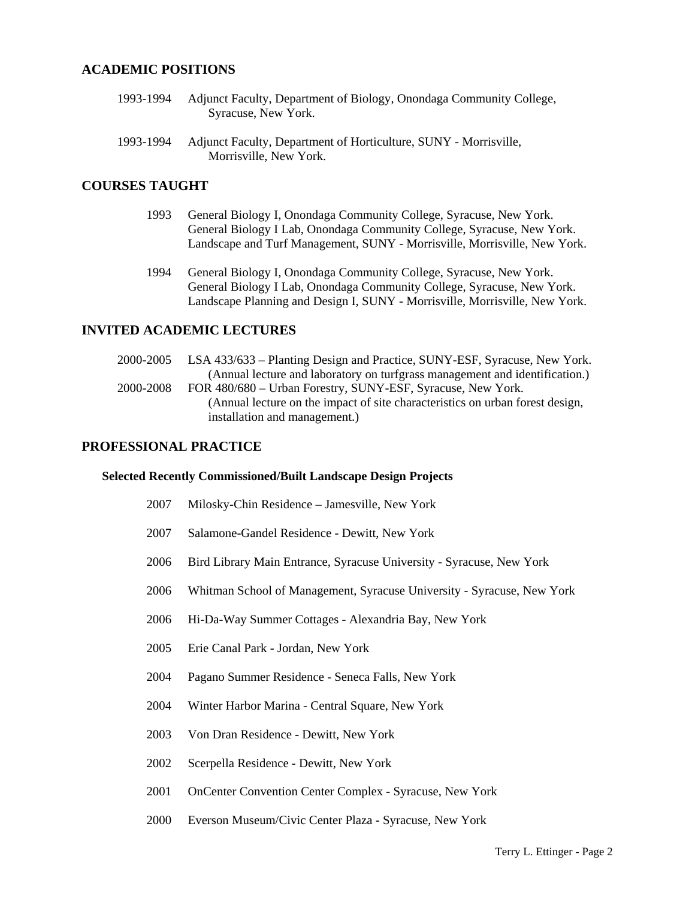# **ACADEMIC POSITIONS**

- 1993-1994 Adjunct Faculty, Department of Biology, Onondaga Community College, Syracuse, New York.
- 1993-1994 Adjunct Faculty, Department of Horticulture, SUNY - Morrisville, Morrisville, New York.

### **COURSES TAUGHT**

- 1993 General Biology I, Onondaga Community College, Syracuse, New York. General Biology I Lab, Onondaga Community College, Syracuse, New York. Landscape and Turf Management, SUNY - Morrisville, Morrisville, New York.
- 1994 General Biology I, Onondaga Community College, Syracuse, New York. General Biology I Lab, Onondaga Community College, Syracuse, New York. Landscape Planning and Design I, SUNY - Morrisville, Morrisville, New York.

# **INVITED ACADEMIC LECTURES**

 2000-2005 2000-2008 LSA 433/633 – Planting Design and Practice, SUNY-ESF, Syracuse, New York. (Annual lecture and laboratory on turfgrass management and identification.) FOR 480/680 – Urban Forestry, SUNY-ESF, Syracuse, New York. (Annual lecture on the impact of site characteristics on urban forest design, installation and management.)

#### **PROFESSIONAL PRACTICE**

#### **Selected Recently Commissioned/Built Landscape Design Projects**

- 2007 Milosky-Chin Residence – Jamesville, New York
- 2007 Salamone-Gandel Residence - Dewitt, New York
- 2006 Bird Library Main Entrance, Syracuse University - Syracuse, New York
- 2006 Whitman School of Management, Syracuse University - Syracuse, New York
- 2006 Hi-Da-Way Summer Cottages - Alexandria Bay, New York
- 2005 Erie Canal Park - Jordan, New York
- 2004 Pagano Summer Residence - Seneca Falls, New York
- 2004 Winter Harbor Marina - Central Square, New York
- 2003 Von Dran Residence - Dewitt, New York
- 2002 Scerpella Residence - Dewitt, New York
- 2001 OnCenter Convention Center Complex - Syracuse, New York
- 2000 Everson Museum/Civic Center Plaza - Syracuse, New York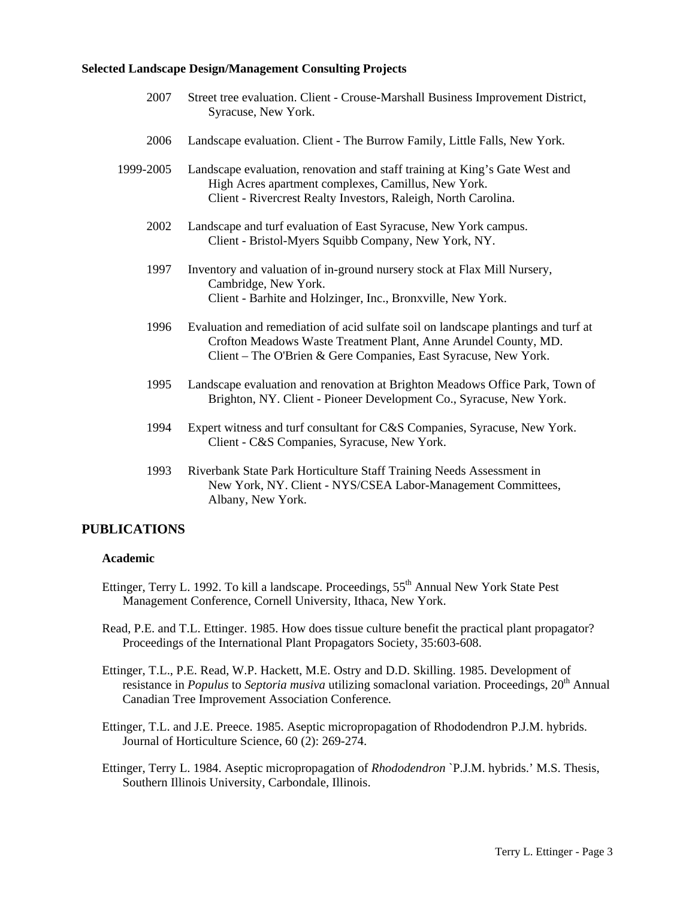#### **Selected Landscape Design/Management Consulting Projects**

- 2007 Street tree evaluation. Client - Crouse-Marshall Business Improvement District, Syracuse, New York.
- 2006 Landscape evaluation. Client - The Burrow Family, Little Falls, New York.
- 1999-2005 Landscape evaluation, renovation and staff training at King's Gate West and High Acres apartment complexes, Camillus, New York. Client - Rivercrest Realty Investors, Raleigh, North Carolina.
	- 2002 Landscape and turf evaluation of East Syracuse, New York campus. Client - Bristol-Myers Squibb Company, New York, NY.
	- 1997 Inventory and valuation of in-ground nursery stock at Flax Mill Nursery, Cambridge, New York. Client - Barhite and Holzinger, Inc., Bronxville, New York.
	- 1996 Evaluation and remediation of acid sulfate soil on landscape plantings and turf at Crofton Meadows Waste Treatment Plant, Anne Arundel County, MD. Client – The O'Brien & Gere Companies, East Syracuse, New York.
	- 1995 Landscape evaluation and renovation at Brighton Meadows Office Park, Town of Brighton, NY. Client - Pioneer Development Co., Syracuse, New York.
	- 1994 Expert witness and turf consultant for C&S Companies, Syracuse, New York. Client - C&S Companies, Syracuse, New York.
	- 1993 Riverbank State Park Horticulture Staff Training Needs Assessment in New York, NY. Client - NYS/CSEA Labor-Management Committees, Albany, New York.

#### **PUBLICATIONS**

#### **Academic**

- Ettinger, Terry L. 1992. To kill a landscape. Proceedings, 55<sup>th</sup> Annual New York State Pest Management Conference, Cornell University, Ithaca, New York.
- Read, P.E. and T.L. Ettinger. 1985. How does tissue culture benefit the practical plant propagator? Proceedings of the International Plant Propagators Society, 35:603-608.
- Ettinger, T.L., P.E. Read, W.P. Hackett, M.E. Ostry and D.D. Skilling. 1985. Development of resistance in *Populus* to *Septoria musiva* utilizing somaclonal variation. Proceedings, 20<sup>th</sup> Annual Canadian Tree Improvement Association Conference*.*
- Ettinger, T.L. and J.E. Preece. 1985. Aseptic micropropagation of Rhododendron P.J.M. hybrids. Journal of Horticulture Science, 60 (2): 269-274.
- Ettinger, Terry L. 1984. Aseptic micropropagation of *Rhododendron* `P.J.M. hybrids.' M.S. Thesis, Southern Illinois University, Carbondale, Illinois.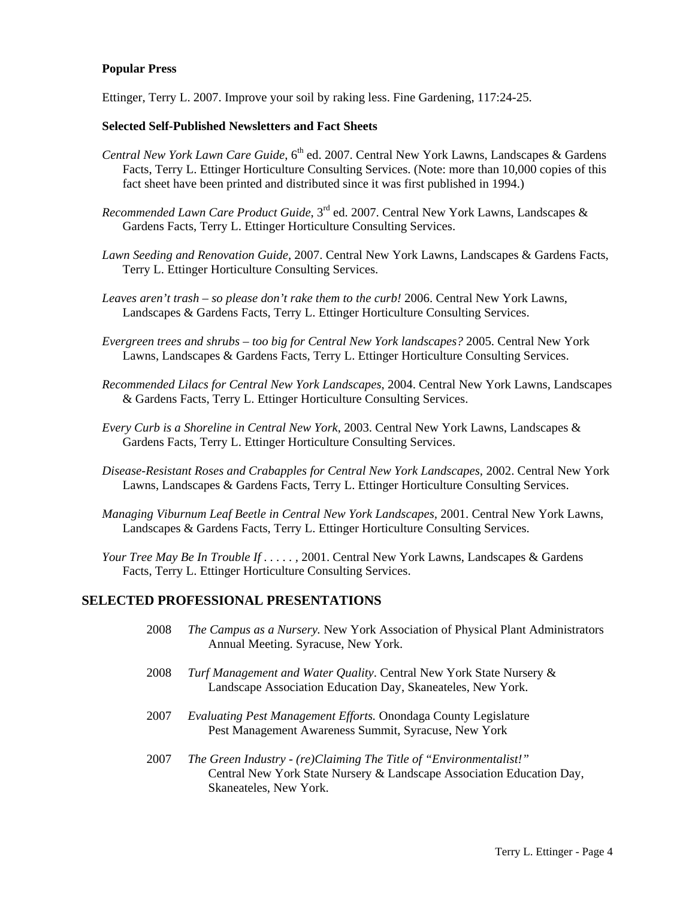#### **Popular Press**

Ettinger, Terry L. 2007. Improve your soil by raking less. Fine Gardening, 117:24-25.

#### **Selected Self-Published Newsletters and Fact Sheets**

- *Central New York Lawn Care Guide*, 6<sup>th</sup> ed. 2007. Central New York Lawns, Landscapes & Gardens Facts, Terry L. Ettinger Horticulture Consulting Services. (Note: more than 10,000 copies of this fact sheet have been printed and distributed since it was first published in 1994.)
- *Recommended Lawn Care Product Guide*, 3rd ed. 2007. Central New York Lawns, Landscapes & Gardens Facts, Terry L. Ettinger Horticulture Consulting Services.
- *Lawn Seeding and Renovation Guide,* 2007. Central New York Lawns, Landscapes & Gardens Facts, Terry L. Ettinger Horticulture Consulting Services.
- *Leaves aren't trash so please don't rake them to the curb!* 2006. Central New York Lawns, Landscapes & Gardens Facts, Terry L. Ettinger Horticulture Consulting Services.
- *Evergreen trees and shrubs too big for Central New York landscapes?* 2005. Central New York Lawns, Landscapes & Gardens Facts, Terry L. Ettinger Horticulture Consulting Services.
- *Recommended Lilacs for Central New York Landscapes*, 2004. Central New York Lawns, Landscapes & Gardens Facts, Terry L. Ettinger Horticulture Consulting Services.
- *Every Curb is a Shoreline in Central New York*, 2003. Central New York Lawns, Landscapes & Gardens Facts, Terry L. Ettinger Horticulture Consulting Services.
- *Disease-Resistant Roses and Crabapples for Central New York Landscapes,* 2002. Central New York Lawns, Landscapes & Gardens Facts, Terry L. Ettinger Horticulture Consulting Services.
- *Managing Viburnum Leaf Beetle in Central New York Landscapes,* 2001. Central New York Lawns, Landscapes & Gardens Facts, Terry L. Ettinger Horticulture Consulting Services.
- *Your Tree May Be In Trouble If . . . . . ,* 2001. Central New York Lawns, Landscapes & Gardens Facts, Terry L. Ettinger Horticulture Consulting Services.

# **SELECTED PROFESSIONAL PRESENTATIONS**

- 2008 *The Campus as a Nursery.* New York Association of Physical Plant Administrators Annual Meeting. Syracuse, New York.
- 2008 *Turf Management and Water Quality*. Central New York State Nursery & Landscape Association Education Day, Skaneateles, New York.
- 2007 *Evaluating Pest Management Efforts.* Onondaga County Legislature Pest Management Awareness Summit, Syracuse, New York
- 2007 *The Green Industry - (re)Claiming The Title of "Environmentalist!"* Central New York State Nursery & Landscape Association Education Day, Skaneateles, New York.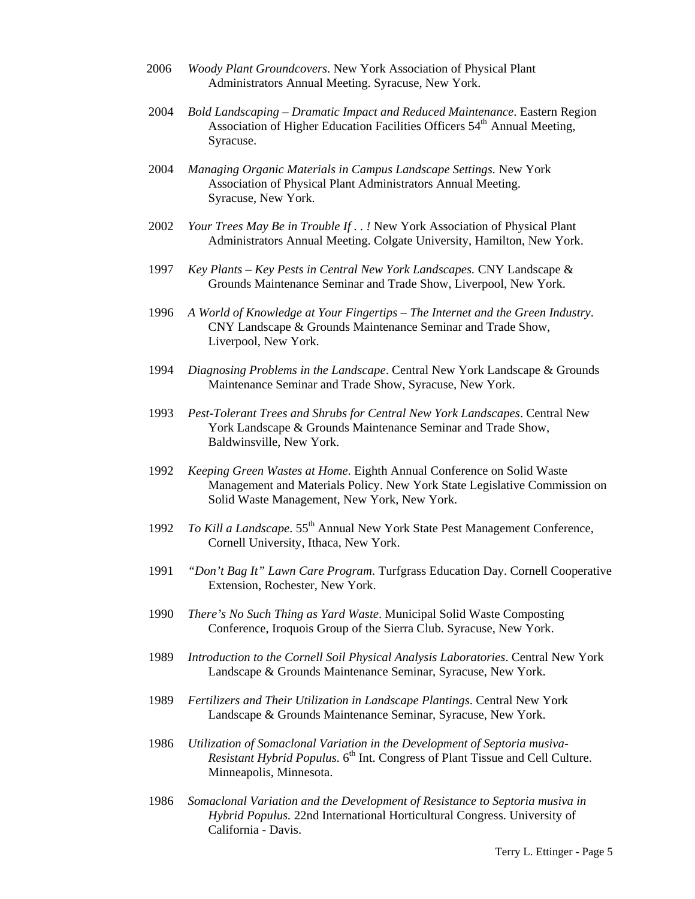- 2006 *Woody Plant Groundcovers*. New York Association of Physical Plant Administrators Annual Meeting. Syracuse, New York.
- 2004 *Bold Landscaping – Dramatic Impact and Reduced Maintenance*. Eastern Region Association of Higher Education Facilities Officers 54<sup>th</sup> Annual Meeting, Syracuse.
- 2004 *Managing Organic Materials in Campus Landscape Settings.* New York Association of Physical Plant Administrators Annual Meeting. Syracuse, New York.
- 2002 *Your Trees May Be in Trouble If . . !* New York Association of Physical Plant Administrators Annual Meeting. Colgate University, Hamilton, New York.
- 1997 *Key Plants – Key Pests in Central New York Landscapes.* CNY Landscape & Grounds Maintenance Seminar and Trade Show, Liverpool, New York.
- 1996 *A World of Knowledge at Your Fingertips – The Internet and the Green Industry*. CNY Landscape & Grounds Maintenance Seminar and Trade Show, Liverpool, New York.
- 1994 *Diagnosing Problems in the Landscape*. Central New York Landscape & Grounds Maintenance Seminar and Trade Show, Syracuse, New York.
- 1993 *Pest-Tolerant Trees and Shrubs for Central New York Landscapes*. Central New York Landscape & Grounds Maintenance Seminar and Trade Show, Baldwinsville, New York.
- 1992 *Keeping Green Wastes at Home*. Eighth Annual Conference on Solid Waste Management and Materials Policy. New York State Legislative Commission on Solid Waste Management, New York, New York.
- 1992 *To Kill a Landscape.*  $55<sup>th</sup>$  Annual New York State Pest Management Conference, Cornell University, Ithaca, New York.
- 1991 *"Don't Bag It" Lawn Care Program*. Turfgrass Education Day. Cornell Cooperative Extension, Rochester, New York.
- 1990 *There's No Such Thing as Yard Waste*. Municipal Solid Waste Composting Conference, Iroquois Group of the Sierra Club. Syracuse, New York.
- 1989 *Introduction to the Cornell Soil Physical Analysis Laboratories*. Central New York Landscape & Grounds Maintenance Seminar, Syracuse, New York.
- 1989 *Fertilizers and Their Utilization in Landscape Plantings*. Central New York Landscape & Grounds Maintenance Seminar, Syracuse, New York.
- 1986 *Utilization of Somaclonal Variation in the Development of Septoria musiva-Resistant Hybrid Populus.* 6<sup>th</sup> Int. Congress of Plant Tissue and Cell Culture. Minneapolis, Minnesota.
- 1986 *Somaclonal Variation and the Development of Resistance to Septoria musiva in Hybrid Populus.* 22nd International Horticultural Congress. University of California - Davis.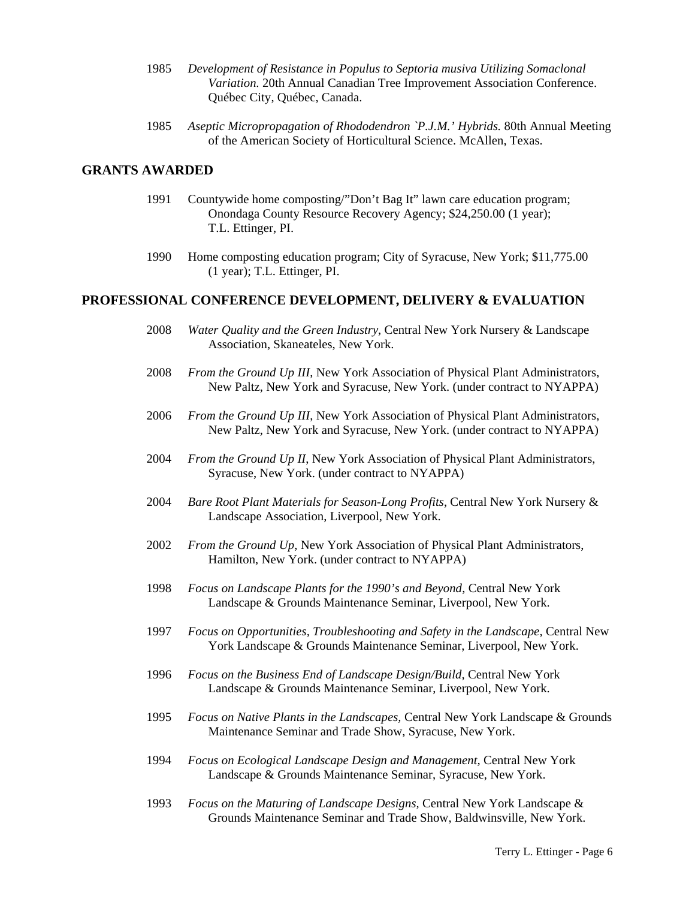- 1985 *Development of Resistance in Populus to Septoria musiva Utilizing Somaclonal Variation.* 20th Annual Canadian Tree Improvement Association Conference. Québec City, Québec, Canada.
- 1985 *Aseptic Micropropagation of Rhododendron `P.J.M.' Hybrids.* 80th Annual Meeting of the American Society of Horticultural Science. McAllen, Texas.

# **GRANTS AWARDED**

- 1991 Countywide home composting/"Don't Bag It" lawn care education program; Onondaga County Resource Recovery Agency; \$24,250.00 (1 year); T.L. Ettinger, PI.
- 1990 Home composting education program; City of Syracuse, New York; \$11,775.00 (1 year); T.L. Ettinger, PI.

#### **PROFESSIONAL CONFERENCE DEVELOPMENT, DELIVERY & EVALUATION**

- 2008 *Water Quality and the Green Industry*, Central New York Nursery & Landscape Association, Skaneateles, New York.
- 2008 *From the Ground Up III*, New York Association of Physical Plant Administrators, New Paltz, New York and Syracuse, New York. (under contract to NYAPPA)
- 2006 *From the Ground Up III*, New York Association of Physical Plant Administrators, New Paltz, New York and Syracuse, New York. (under contract to NYAPPA)
- 2004 *From the Ground Up II*, New York Association of Physical Plant Administrators, Syracuse, New York. (under contract to NYAPPA)
- 2004 *Bare Root Plant Materials for Season-Long Profits*, Central New York Nursery & Landscape Association, Liverpool, New York.
- 2002 *From the Ground Up*, New York Association of Physical Plant Administrators, Hamilton, New York. (under contract to NYAPPA)
- 1998 *Focus on Landscape Plants for the 1990's and Beyond*, Central New York Landscape & Grounds Maintenance Seminar, Liverpool, New York.
- 1997 *Focus on Opportunities, Troubleshooting and Safety in the Landscape,* Central New York Landscape & Grounds Maintenance Seminar, Liverpool, New York.
- 1996 *Focus on the Business End of Landscape Design/Build,* Central New York Landscape & Grounds Maintenance Seminar, Liverpool, New York.
- 1995 *Focus on Native Plants in the Landscapes,* Central New York Landscape & Grounds Maintenance Seminar and Trade Show, Syracuse, New York.
- 1994 *Focus on Ecological Landscape Design and Management,* Central New York Landscape & Grounds Maintenance Seminar, Syracuse, New York.
- 1993 *Focus on the Maturing of Landscape Designs,* Central New York Landscape & Grounds Maintenance Seminar and Trade Show, Baldwinsville, New York.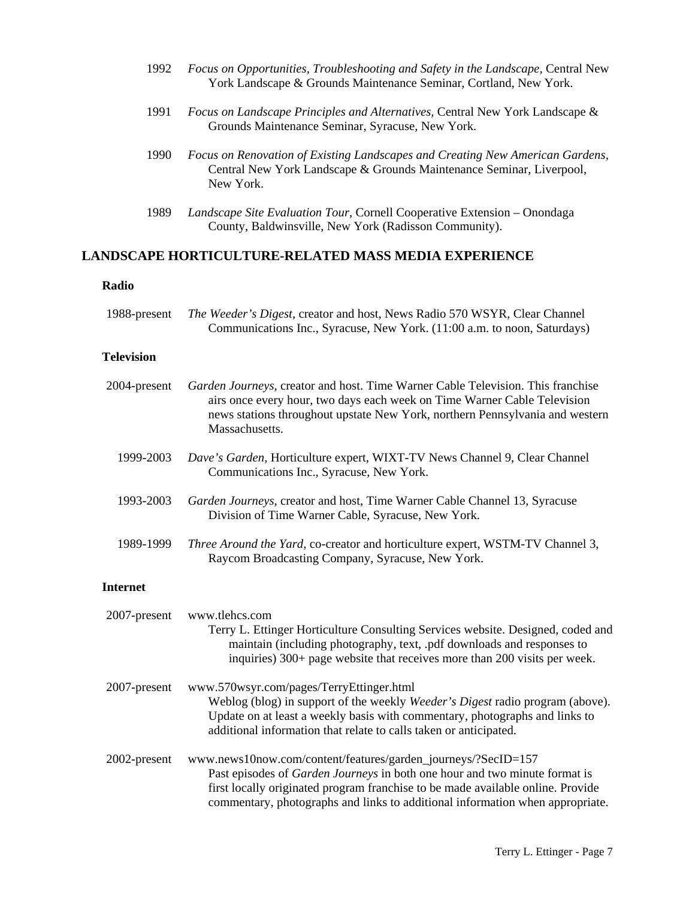- 1992 *Focus on Opportunities, Troubleshooting and Safety in the Landscape,* Central New York Landscape & Grounds Maintenance Seminar, Cortland, New York.
- 1991 *Focus on Landscape Principles and Alternatives,* Central New York Landscape & Grounds Maintenance Seminar, Syracuse, New York.
- 1990 *Focus on Renovation of Existing Landscapes and Creating New American Gardens,* Central New York Landscape & Grounds Maintenance Seminar, Liverpool, New York.
- 1989 *Landscape Site Evaluation Tour*, Cornell Cooperative Extension – Onondaga County, Baldwinsville, New York (Radisson Community).

# **LANDSCAPE HORTICULTURE-RELATED MASS MEDIA EXPERIENCE**

#### **Radio**

| 1988-present | <i>The Weeder's Digest, creator and host, News Radio 570 WSYR, Clear Channel</i> |
|--------------|----------------------------------------------------------------------------------|
|              | Communications Inc., Syracuse, New York. (11:00 a.m. to noon, Saturdays)         |

#### **Television**

| 2004-present    | Garden Journeys, creator and host. Time Warner Cable Television. This franchise<br>airs once every hour, two days each week on Time Warner Cable Television<br>news stations throughout upstate New York, northern Pennsylvania and western<br>Massachusetts. |
|-----------------|---------------------------------------------------------------------------------------------------------------------------------------------------------------------------------------------------------------------------------------------------------------|
| 1999-2003       | Dave's Garden, Horticulture expert, WIXT-TV News Channel 9, Clear Channel<br>Communications Inc., Syracuse, New York.                                                                                                                                         |
| 1993-2003       | Garden Journeys, creator and host, Time Warner Cable Channel 13, Syracuse<br>Division of Time Warner Cable, Syracuse, New York.                                                                                                                               |
| 1989-1999       | Three Around the Yard, co-creator and horticulture expert, WSTM-TV Channel 3,<br>Raycom Broadcasting Company, Syracuse, New York.                                                                                                                             |
| <b>Internet</b> |                                                                                                                                                                                                                                                               |
| 2007-present    | www.tlehcs.com<br>Terry L. Ettinger Horticulture Consulting Services website. Designed, coded and<br>maintain (including photography, text, .pdf downloads and responses to<br>inquiries) 300+ page website that receives more than 200 visits per week.      |
| 2007-present    | www.570wsyr.com/pages/TerryEttinger.html<br>Weblog (blog) in support of the weekly Weeder's Digest radio program (above).<br>Update on at least a weekly basis with commentary, photographs and links to                                                      |

2002-present www.news10now.com/content/features/garden\_journeys/?SecID=157 Past episodes of *Garden Journeys* in both one hour and two minute format is first locally originated program franchise to be made available online. Provide commentary, photographs and links to additional information when appropriate.

additional information that relate to calls taken or anticipated.